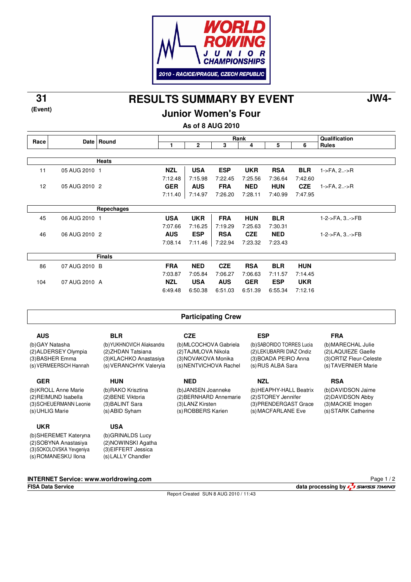

**RESULTS SUMMARY BY EVENT 31 JW4-**

**Junior Women's Four**

**As of 8 AUG 2010**

|                          | Date l                | Round                      |                        |                           | Qualification         |                       |                           |                       |                         |
|--------------------------|-----------------------|----------------------------|------------------------|---------------------------|-----------------------|-----------------------|---------------------------|-----------------------|-------------------------|
| Race                     |                       |                            | 1                      | $\mathbf{2}$              | 3                     | 4                     | 5                         | 6                     | <b>Rules</b>            |
|                          |                       |                            |                        |                           |                       |                       |                           |                       |                         |
|                          |                       | <b>Heats</b>               |                        |                           |                       |                       |                           |                       |                         |
| 11                       | 05 AUG 2010 1         |                            | <b>NZL</b>             | <b>USA</b>                | <b>ESP</b>            | <b>UKR</b>            | <b>RSA</b>                | <b>BLR</b>            | $1 - 5FA$ , $2 - 5R$    |
|                          |                       |                            | 7:12.48                | 7:15.98                   | 7:22.45               | 7:25.56               | 7:36.64                   | 7:42.60               |                         |
| 12                       | 05 AUG 2010 2         |                            | <b>GER</b>             | <b>AUS</b>                | <b>FRA</b>            | <b>NED</b>            | <b>HUN</b>                | <b>CZE</b>            | $1 - FA$ , $2 - F$      |
|                          |                       |                            | 7:11.40                | 7:14.97                   | 7:26.20               | 7:28.11               | 7:40.99                   | 7:47.95               |                         |
|                          |                       |                            |                        |                           |                       |                       |                           |                       |                         |
|                          |                       | Repechages                 |                        |                           |                       |                       |                           |                       |                         |
| 45                       | 06 AUG 2010 1         |                            | <b>USA</b>             | <b>UKR</b>                | <b>FRA</b>            | <b>HUN</b>            | <b>BLR</b>                |                       | 1-2->FA, 3->FB          |
|                          |                       |                            | 7:07.66                | 7:16.25                   | 7:19.29               | 7:25.63               | 7:30.31                   |                       |                         |
| 46                       | 06 AUG 2010 2         |                            | <b>AUS</b>             | <b>ESP</b>                | <b>RSA</b>            | <b>CZE</b>            | <b>NED</b>                |                       | 1-2->FA, 3->FB          |
|                          |                       |                            | 7:08.14                | 7:11.46                   | 7:22.94               | 7:23.32               | 7:23.43                   |                       |                         |
|                          |                       | <b>Finals</b>              |                        |                           |                       |                       |                           |                       |                         |
|                          |                       |                            |                        |                           |                       |                       |                           |                       |                         |
| 86                       | 07 AUG 2010 B         |                            | <b>FRA</b>             | <b>NED</b>                | <b>CZE</b>            | <b>RSA</b>            | <b>BLR</b>                | <b>HUN</b>            |                         |
|                          |                       |                            | 7:03.87                | 7:05.84                   | 7:06.27               | 7:06.63               | 7:11.57                   | 7:14.45               |                         |
| 104                      | 07 AUG 2010 A         |                            | <b>NZL</b><br>6:49.48  | <b>USA</b><br>6:50.38     | <b>AUS</b><br>6:51.03 | <b>GER</b><br>6:51.39 | <b>ESP</b><br>6:55.34     | <b>UKR</b><br>7:12.16 |                         |
|                          |                       |                            |                        |                           |                       |                       |                           |                       |                         |
|                          |                       |                            |                        |                           |                       |                       |                           |                       |                         |
|                          |                       |                            |                        | <b>Participating Crew</b> |                       |                       |                           |                       |                         |
|                          |                       |                            |                        |                           |                       |                       |                           |                       |                         |
| <b>AUS</b><br><b>BLR</b> |                       | <b>CZE</b>                 |                        |                           | <b>ESP</b>            |                       |                           | <b>FRA</b>            |                         |
| (b)GAY Natasha           |                       | (b) YUKHNOVICH Aliaksandra | (b) MLCOCHOVA Gabriela |                           |                       |                       | (b) SABORIDO TORRES Lucia |                       | (b) MARECHAL Julie      |
| (2) ALDERSEY Olympia     |                       | (2) ZHDAN Tatsiana         | (2) TAJMLOVA Nikola    |                           |                       |                       | (2) LEKUBARRI DIAZ Ondiz  |                       | (2) LAQUIEZE Gaelle     |
| (3) BASHER Emma          |                       | (3) KLACHKO Anastasiya     | (3) NOVAKOVA Monika    |                           |                       |                       | (3) BOADA PEIRO Anna      |                       | (3) ORTIZ Fleur-Celeste |
|                          | (s) VERMEERSCH Hannah | (s) VERANCHYK Valeryia     |                        | (s) NENTVICHOVA Rachel    |                       |                       | (s) RUS ALBA Sara         |                       | (s) TAVERNIER Marie     |
| <b>GER</b>               |                       | <b>HUN</b>                 |                        | <b>NED</b>                |                       | <b>NZL</b>            |                           |                       | <b>RSA</b>              |
|                          | (b) KROLL Anne Marie  | (b)RAKO Krisztina          |                        | (b) JANSEN Joanneke       |                       |                       | (b) HEAPHY-HALL Beatrix   |                       | (b)DAVIDSON Jaime       |
| (2) REIMUND Isabella     |                       | (2) BENE Viktoria          |                        | (2) BERNHARD Annemarie    |                       |                       | (2) STOREY Jennifer       |                       | (2) DAVIDSON Abby       |
| (3) SCHEUERMANN Leonie   |                       | (3) BALINT Sara            |                        | (3) LANZ Kirsten          |                       |                       | (3) PRENDERGAST Grace     |                       | (3) MACKIE Imogen       |
| (s) UHLIG Marie          |                       | (s) ABID Syham             |                        | (s) ROBBERS Karien        |                       |                       | (s) MACFARLANE Eve        |                       | (s) STARK Catherine     |

(b) SHEREMET Kateryna (2) SOBYNA Anastasiya (3) SOKOLOVSKA Yevgeniya

(s) ROMANESKU Ilona

**UKR**

**(Event)**

(b) GRINALDS Lucy (2) NOWINSKI Agatha (3) EIFFERT Jessica (s) LALLY Chandler

**USA**

**INTERNET Service: www.worldrowing.com**

Report Created SUN 8 AUG 2010 / 11:43

**FISA Data Service data processing by**  $\frac{1}{4}$  **SWISS TIMING** Page 1 / 2